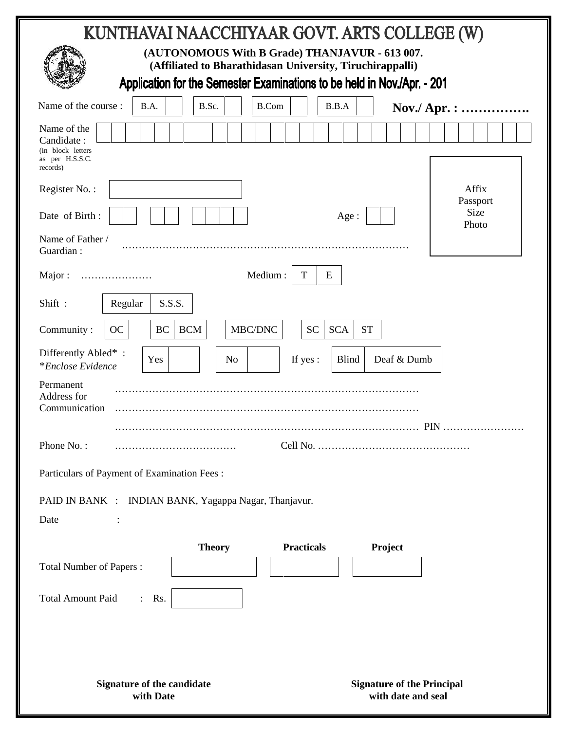| KUNTHAVAI NAACCHIYAAR GOVT. ARTS COLLEGE (W)                                                                                                                                           |  |  |  |  |  |  |
|----------------------------------------------------------------------------------------------------------------------------------------------------------------------------------------|--|--|--|--|--|--|
| (AUTONOMOUS With B Grade) THANJAVUR - 613 007.<br>(Affiliated to Bharathidasan University, Tiruchirappalli)<br>Application for the Semester Examinations to be held in Nov./Apr. - 201 |  |  |  |  |  |  |
| Name of the course :<br>B.A.<br>B.Sc.<br><b>B.Com</b><br>B.B.A<br>Nov./ Apr. :                                                                                                         |  |  |  |  |  |  |
| Name of the<br>Candidate:<br>(in block letters<br>as per H.S.S.C.<br>records)                                                                                                          |  |  |  |  |  |  |
| Affix<br>Register No.:                                                                                                                                                                 |  |  |  |  |  |  |
| Passport<br><b>Size</b><br>Date of Birth:<br>Age :<br>Photo                                                                                                                            |  |  |  |  |  |  |
| Name of Father /<br>Guardian:                                                                                                                                                          |  |  |  |  |  |  |
| Medium:<br>T<br>E<br>Major:                                                                                                                                                            |  |  |  |  |  |  |
| S.S.S.<br>Shift:<br>Regular                                                                                                                                                            |  |  |  |  |  |  |
| MBC/DNC<br><b>SC</b><br>BC<br><b>BCM</b><br><b>SCA</b><br><b>ST</b><br>Community:<br>OC                                                                                                |  |  |  |  |  |  |
| Differently Abled*:<br><b>Blind</b><br>Deaf & Dumb<br>If yes:<br>Yes<br>N <sub>o</sub><br><i>*Enclose Evidence</i>                                                                     |  |  |  |  |  |  |
| Permanent<br>Address for<br>Communication                                                                                                                                              |  |  |  |  |  |  |
| $PIN \dots$                                                                                                                                                                            |  |  |  |  |  |  |
| Phone No.:                                                                                                                                                                             |  |  |  |  |  |  |
| Particulars of Payment of Examination Fees:                                                                                                                                            |  |  |  |  |  |  |
| PAID IN BANK : INDIAN BANK, Yagappa Nagar, Thanjavur.                                                                                                                                  |  |  |  |  |  |  |
| Date                                                                                                                                                                                   |  |  |  |  |  |  |
| <b>Theory</b><br><b>Practicals</b><br>Project                                                                                                                                          |  |  |  |  |  |  |
| <b>Total Number of Papers:</b>                                                                                                                                                         |  |  |  |  |  |  |
| <b>Total Amount Paid</b><br>$:$ Rs.                                                                                                                                                    |  |  |  |  |  |  |
|                                                                                                                                                                                        |  |  |  |  |  |  |
|                                                                                                                                                                                        |  |  |  |  |  |  |
| <b>Signature of the Principal</b><br><b>Signature of the candidate</b><br>with Date<br>with date and seal                                                                              |  |  |  |  |  |  |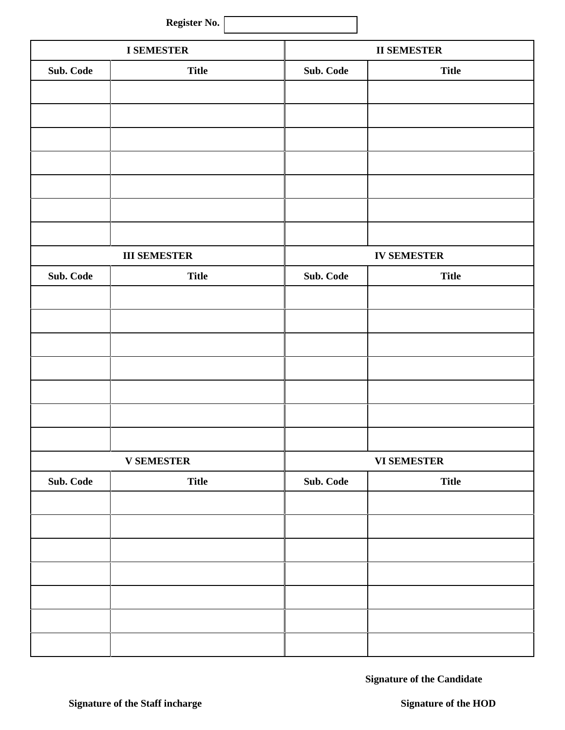| Register No. |  |
|--------------|--|
|--------------|--|

| <b>I SEMESTER</b> |                     |           | <b>II SEMESTER</b> |  |  |
|-------------------|---------------------|-----------|--------------------|--|--|
| Sub. Code         | <b>Title</b>        | Sub. Code | <b>Title</b>       |  |  |
|                   |                     |           |                    |  |  |
|                   |                     |           |                    |  |  |
|                   |                     |           |                    |  |  |
|                   |                     |           |                    |  |  |
|                   |                     |           |                    |  |  |
|                   |                     |           |                    |  |  |
|                   |                     |           |                    |  |  |
|                   |                     |           |                    |  |  |
|                   | <b>III SEMESTER</b> |           | <b>IV SEMESTER</b> |  |  |
| Sub. Code         | <b>Title</b>        | Sub. Code | <b>Title</b>       |  |  |
|                   |                     |           |                    |  |  |
|                   |                     |           |                    |  |  |
|                   |                     |           |                    |  |  |
|                   |                     |           |                    |  |  |
|                   |                     |           |                    |  |  |
|                   |                     |           |                    |  |  |
|                   |                     |           |                    |  |  |
|                   | <b>V SEMESTER</b>   |           | <b>VI SEMESTER</b> |  |  |
| Sub. Code         | <b>Title</b>        | Sub. Code | <b>Title</b>       |  |  |
|                   |                     |           |                    |  |  |
|                   |                     |           |                    |  |  |
|                   |                     |           |                    |  |  |
|                   |                     |           |                    |  |  |
|                   |                     |           |                    |  |  |
|                   |                     |           |                    |  |  |
|                   |                     |           |                    |  |  |
|                   |                     |           |                    |  |  |